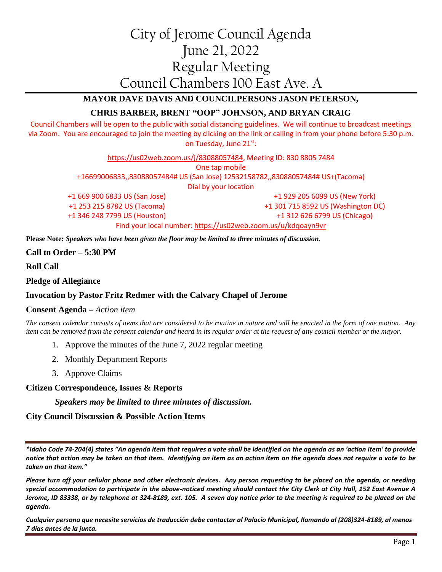# City of Jerome Council Agenda June 21, 2022 Regular Meeting Council Chambers 100 East Ave. A

# **MAYOR DAVE DAVIS AND COUNCILPERSONS JASON PETERSON,**

# **CHRIS BARBER, BRENT "OOP" JOHNSON, AND BRYAN CRAIG**

Council Chambers will be open to the public with social distancing guidelines. We will continue to broadcast meetings via Zoom. You are encouraged to join the meeting by clicking on the link or calling in from your phone before 5:30 p.m. on Tuesday, June 21st:

> [https://us02web.zoom.us/j/83088057484,](https://us02web.zoom.us/j/83088057484) Meeting ID: 830 8805 7484 One tap mobile +16699006833,,83088057484# US (San Jose) 12532158782,,83088057484# US+(Tacoma) Dial by your location +1 669 900 6833 US (San Jose)

+1 253 215 8782 US (Tacoma) +1 346 248 7799 US (Houston)

+1 929 205 6099 US (New York) +1 301 715 8592 US (Washington DC) +1 312 626 6799 US (Chicago) Find your local number:<https://us02web.zoom.us/u/kdqoayn9vr>

**Please Note:** *Speakers who have been given the floor may be limited to three minutes of discussion.*

**Call to Order – 5:30 PM**

**Roll Call**

**Pledge of Allegiance**

## **Invocation by Pastor Fritz Redmer with the Calvary Chapel of Jerome**

#### **Consent Agenda –** *Action item*

*The consent calendar consists of items that are considered to be routine in nature and will be enacted in the form of one motion. Any item can be removed from the consent calendar and heard in its regular order at the request of any council member or the mayor.*

- 1. Approve the minutes of the June 7, 2022 regular meeting
- 2. Monthly Department Reports
- 3. Approve Claims

**Citizen Correspondence, Issues & Reports**

*Speakers may be limited to three minutes of discussion.*

## **City Council Discussion & Possible Action Items**

*\*Idaho Code 74-204(4) states "An agenda item that requires a vote shall be identified on the agenda as an 'action item' to provide notice that action may be taken on that item. Identifying an item as an action item on the agenda does not require a vote to be taken on that item."*

*Please turn off your cellular phone and other electronic devices. Any person requesting to be placed on the agenda, or needing special accommodation to participate in the above-noticed meeting should contact the City Clerk at City Hall, 152 East Avenue A Jerome, ID 83338, or by telephone at 324-8189, ext. 105. A seven day notice prior to the meeting is required to be placed on the agenda.* 

*Cualquier persona que necesite servicios de traducción debe contactar al Palacio Municipal, llamando al (208)324-8189, al menos 7 días antes de la junta.*